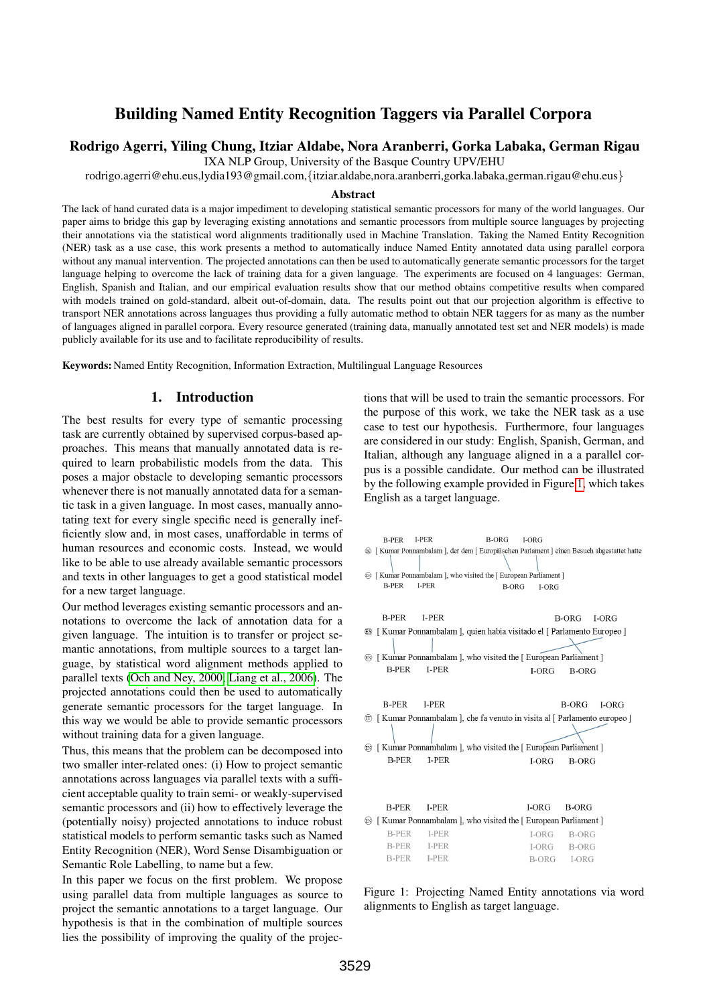# Building Named Entity Recognition Taggers via Parallel Corpora

### Rodrigo Agerri, Yiling Chung, Itziar Aldabe, Nora Aranberri, Gorka Labaka, German Rigau

IXA NLP Group, University of the Basque Country UPV/EHU

rodrigo.agerri@ehu.eus,lydia193@gmail.com,{itziar.aldabe,nora.aranberri,gorka.labaka,german.rigau@ehu.eus}

#### Abstract

The lack of hand curated data is a major impediment to developing statistical semantic processors for many of the world languages. Our paper aims to bridge this gap by leveraging existing annotations and semantic processors from multiple source languages by projecting their annotations via the statistical word alignments traditionally used in Machine Translation. Taking the Named Entity Recognition (NER) task as a use case, this work presents a method to automatically induce Named Entity annotated data using parallel corpora without any manual intervention. The projected annotations can then be used to automatically generate semantic processors for the target language helping to overcome the lack of training data for a given language. The experiments are focused on 4 languages: German, English, Spanish and Italian, and our empirical evaluation results show that our method obtains competitive results when compared with models trained on gold-standard, albeit out-of-domain, data. The results point out that our projection algorithm is effective to transport NER annotations across languages thus providing a fully automatic method to obtain NER taggers for as many as the number of languages aligned in parallel corpora. Every resource generated (training data, manually annotated test set and NER models) is made publicly available for its use and to facilitate reproducibility of results.

Keywords: Named Entity Recognition, Information Extraction, Multilingual Language Resources

#### 1. Introduction

The best results for every type of semantic processing task are currently obtained by supervised corpus-based approaches. This means that manually annotated data is required to learn probabilistic models from the data. This poses a major obstacle to developing semantic processors whenever there is not manually annotated data for a semantic task in a given language. In most cases, manually annotating text for every single specific need is generally inefficiently slow and, in most cases, unaffordable in terms of human resources and economic costs. Instead, we would like to be able to use already available semantic processors and texts in other languages to get a good statistical model for a new target language.

Our method leverages existing semantic processors and annotations to overcome the lack of annotation data for a given language. The intuition is to transfer or project semantic annotations, from multiple sources to a target language, by statistical word alignment methods applied to parallel texts [\(Och and Ney, 2000;](#page-4-0) [Liang et al., 2006\)](#page-4-1). The projected annotations could then be used to automatically generate semantic processors for the target language. In this way we would be able to provide semantic processors without training data for a given language.

Thus, this means that the problem can be decomposed into two smaller inter-related ones: (i) How to project semantic annotations across languages via parallel texts with a sufficient acceptable quality to train semi- or weakly-supervised semantic processors and (ii) how to effectively leverage the (potentially noisy) projected annotations to induce robust statistical models to perform semantic tasks such as Named Entity Recognition (NER), Word Sense Disambiguation or Semantic Role Labelling, to name but a few.

In this paper we focus on the first problem. We propose using parallel data from multiple languages as source to project the semantic annotations to a target language. Our hypothesis is that in the combination of multiple sources lies the possibility of improving the quality of the projections that will be used to train the semantic processors. For the purpose of this work, we take the NER task as a use case to test our hypothesis. Furthermore, four languages are considered in our study: English, Spanish, German, and Italian, although any language aligned in a a parallel corpus is a possible candidate. Our method can be illustrated by the following example provided in Figure [1,](#page-0-0) which takes English as a target language.



<span id="page-0-0"></span>Figure 1: Projecting Named Entity annotations via word alignments to English as target language.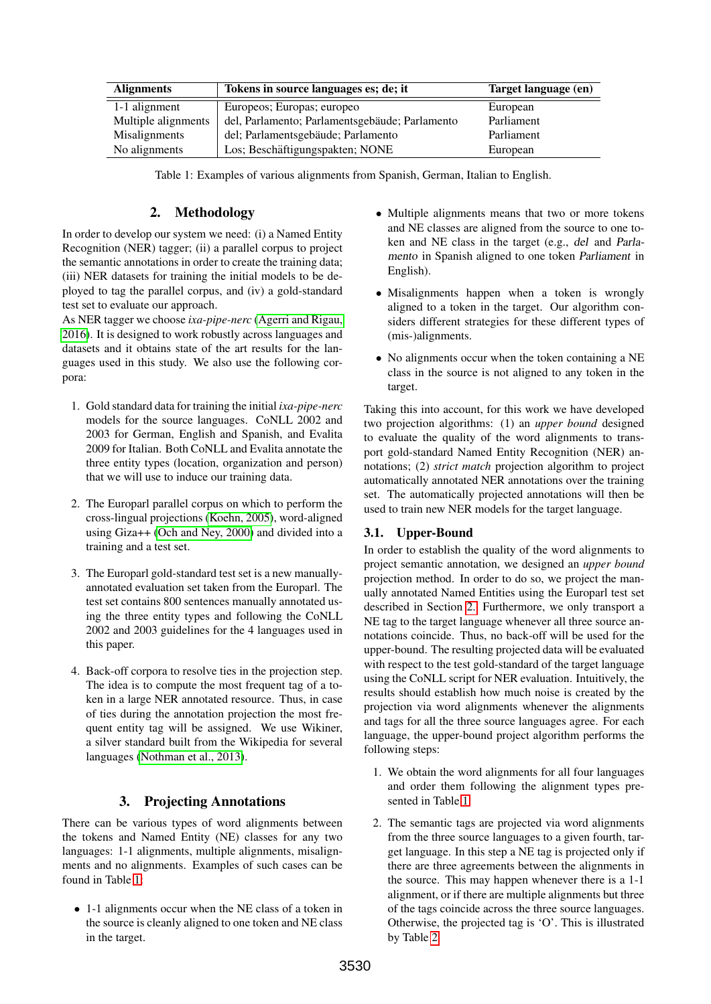| <b>Alignments</b>   | Tokens in source languages es; de; it          | Target language (en) |
|---------------------|------------------------------------------------|----------------------|
| 1-1 alignment       | Europeos; Europas; europeo                     | European             |
| Multiple alignments | del, Parlamento; Parlamentsgebäude; Parlamento | Parliament           |
| Misalignments       | del; Parlamentsgebäude; Parlamento             | Parliament           |
| No alignments       | Los; Beschäftigungspakten; NONE                | European             |

<span id="page-1-0"></span>Table 1: Examples of various alignments from Spanish, German, Italian to English.

### 2. Methodology

<span id="page-1-1"></span>In order to develop our system we need: (i) a Named Entity Recognition (NER) tagger; (ii) a parallel corpus to project the semantic annotations in order to create the training data; (iii) NER datasets for training the initial models to be deployed to tag the parallel corpus, and (iv) a gold-standard test set to evaluate our approach.

As NER tagger we choose *ixa-pipe-nerc* [\(Agerri and Rigau,](#page-4-2) [2016\)](#page-4-2). It is designed to work robustly across languages and datasets and it obtains state of the art results for the languages used in this study. We also use the following corpora:

- 1. Gold standard data for training the initial *ixa-pipe-nerc* models for the source languages. CoNLL 2002 and 2003 for German, English and Spanish, and Evalita 2009 for Italian. Both CoNLL and Evalita annotate the three entity types (location, organization and person) that we will use to induce our training data.
- 2. The Europarl parallel corpus on which to perform the cross-lingual projections [\(Koehn, 2005\)](#page-4-3), word-aligned using Giza++ [\(Och and Ney, 2000\)](#page-4-0) and divided into a training and a test set.
- 3. The Europarl gold-standard test set is a new manuallyannotated evaluation set taken from the Europarl. The test set contains 800 sentences manually annotated using the three entity types and following the CoNLL 2002 and 2003 guidelines for the 4 languages used in this paper.
- 4. Back-off corpora to resolve ties in the projection step. The idea is to compute the most frequent tag of a token in a large NER annotated resource. Thus, in case of ties during the annotation projection the most frequent entity tag will be assigned. We use Wikiner, a silver standard built from the Wikipedia for several languages [\(Nothman et al., 2013\)](#page-4-4).

## 3. Projecting Annotations

There can be various types of word alignments between the tokens and Named Entity (NE) classes for any two languages: 1-1 alignments, multiple alignments, misalignments and no alignments. Examples of such cases can be found in Table [1:](#page-1-0)

• 1-1 alignments occur when the NE class of a token in the source is cleanly aligned to one token and NE class in the target.

- Multiple alignments means that two or more tokens and NE classes are aligned from the source to one token and NE class in the target (e.g., del and Parlamento in Spanish aligned to one token Parliament in English).
- Misalignments happen when a token is wrongly aligned to a token in the target. Our algorithm considers different strategies for these different types of (mis-)alignments.
- No alignments occur when the token containing a NE class in the source is not aligned to any token in the target.

Taking this into account, for this work we have developed two projection algorithms: (1) an *upper bound* designed to evaluate the quality of the word alignments to transport gold-standard Named Entity Recognition (NER) annotations; (2) *strict match* projection algorithm to project automatically annotated NER annotations over the training set. The automatically projected annotations will then be used to train new NER models for the target language.

## 3.1. Upper-Bound

In order to establish the quality of the word alignments to project semantic annotation, we designed an *upper bound* projection method. In order to do so, we project the manually annotated Named Entities using the Europarl test set described in Section [2.](#page-1-1) Furthermore, we only transport a NE tag to the target language whenever all three source annotations coincide. Thus, no back-off will be used for the upper-bound. The resulting projected data will be evaluated with respect to the test gold-standard of the target language using the CoNLL script for NER evaluation. Intuitively, the results should establish how much noise is created by the projection via word alignments whenever the alignments and tags for all the three source languages agree. For each language, the upper-bound project algorithm performs the following steps:

- 1. We obtain the word alignments for all four languages and order them following the alignment types presented in Table [1.](#page-1-0)
- 2. The semantic tags are projected via word alignments from the three source languages to a given fourth, target language. In this step a NE tag is projected only if there are three agreements between the alignments in the source. This may happen whenever there is a 1-1 alignment, or if there are multiple alignments but three of the tags coincide across the three source languages. Otherwise, the projected tag is 'O'. This is illustrated by Table [2.](#page-2-0)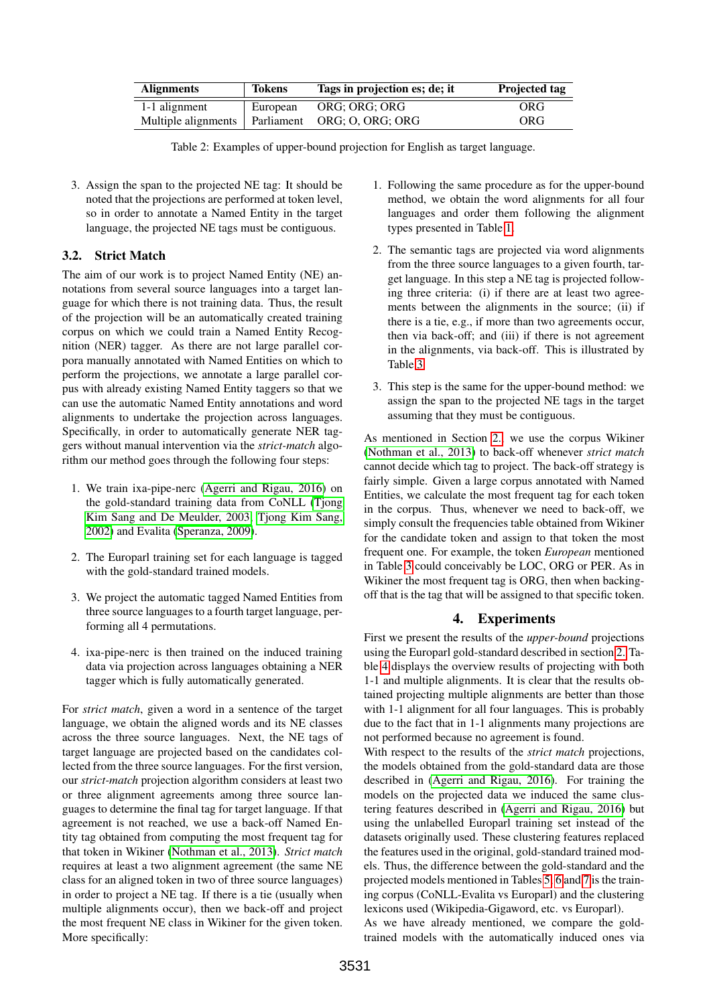| <b>Alignments</b>   | <b>Tokens</b> | Tags in projection es; de; it | <b>Projected tag</b> |
|---------------------|---------------|-------------------------------|----------------------|
| 1-1 alignment       | European      | ORG: ORG: ORG                 | ORG                  |
| Multiple alignments | Parliament    | ORG; O, ORG; ORG              | ORG                  |

<span id="page-2-0"></span>Table 2: Examples of upper-bound projection for English as target language.

3. Assign the span to the projected NE tag: It should be noted that the projections are performed at token level, so in order to annotate a Named Entity in the target language, the projected NE tags must be contiguous.

# 3.2. Strict Match

The aim of our work is to project Named Entity (NE) annotations from several source languages into a target language for which there is not training data. Thus, the result of the projection will be an automatically created training corpus on which we could train a Named Entity Recognition (NER) tagger. As there are not large parallel corpora manually annotated with Named Entities on which to perform the projections, we annotate a large parallel corpus with already existing Named Entity taggers so that we can use the automatic Named Entity annotations and word alignments to undertake the projection across languages. Specifically, in order to automatically generate NER taggers without manual intervention via the *strict-match* algorithm our method goes through the following four steps:

- 1. We train ixa-pipe-nerc [\(Agerri and Rigau, 2016\)](#page-4-2) on the gold-standard training data from CoNLL [\(Tjong](#page-4-5) [Kim Sang and De Meulder, 2003;](#page-4-5) [Tjong Kim Sang,](#page-4-6) [2002\)](#page-4-6) and Evalita [\(Speranza, 2009\)](#page-4-7).
- 2. The Europarl training set for each language is tagged with the gold-standard trained models.
- 3. We project the automatic tagged Named Entities from three source languages to a fourth target language, performing all 4 permutations.
- 4. ixa-pipe-nerc is then trained on the induced training data via projection across languages obtaining a NER tagger which is fully automatically generated.

For *strict match*, given a word in a sentence of the target language, we obtain the aligned words and its NE classes across the three source languages. Next, the NE tags of target language are projected based on the candidates collected from the three source languages. For the first version, our *strict-match* projection algorithm considers at least two or three alignment agreements among three source languages to determine the final tag for target language. If that agreement is not reached, we use a back-off Named Entity tag obtained from computing the most frequent tag for that token in Wikiner [\(Nothman et al., 2013\)](#page-4-4). *Strict match* requires at least a two alignment agreement (the same NE class for an aligned token in two of three source languages) in order to project a NE tag. If there is a tie (usually when multiple alignments occur), then we back-off and project the most frequent NE class in Wikiner for the given token. More specifically:

- 1. Following the same procedure as for the upper-bound method, we obtain the word alignments for all four languages and order them following the alignment types presented in Table [1.](#page-1-0)
- 2. The semantic tags are projected via word alignments from the three source languages to a given fourth, target language. In this step a NE tag is projected following three criteria: (i) if there are at least two agreements between the alignments in the source; (ii) if there is a tie, e.g., if more than two agreements occur, then via back-off; and (iii) if there is not agreement in the alignments, via back-off. This is illustrated by Table [3.](#page-3-0)
- 3. This step is the same for the upper-bound method: we assign the span to the projected NE tags in the target assuming that they must be contiguous.

As mentioned in Section [2.,](#page-1-1) we use the corpus Wikiner [\(Nothman et al., 2013\)](#page-4-4) to back-off whenever *strict match* cannot decide which tag to project. The back-off strategy is fairly simple. Given a large corpus annotated with Named Entities, we calculate the most frequent tag for each token in the corpus. Thus, whenever we need to back-off, we simply consult the frequencies table obtained from Wikiner for the candidate token and assign to that token the most frequent one. For example, the token *European* mentioned in Table [3](#page-3-0) could conceivably be LOC, ORG or PER. As in Wikiner the most frequent tag is ORG, then when backingoff that is the tag that will be assigned to that specific token.

# 4. Experiments

First we present the results of the *upper-bound* projections using the Europarl gold-standard described in section [2.](#page-1-1) Table [4](#page-3-1) displays the overview results of projecting with both 1-1 and multiple alignments. It is clear that the results obtained projecting multiple alignments are better than those with 1-1 alignment for all four languages. This is probably due to the fact that in 1-1 alignments many projections are not performed because no agreement is found.

With respect to the results of the *strict match* projections, the models obtained from the gold-standard data are those described in [\(Agerri and Rigau, 2016\)](#page-4-2). For training the models on the projected data we induced the same clustering features described in [\(Agerri and Rigau, 2016\)](#page-4-2) but using the unlabelled Europarl training set instead of the datasets originally used. These clustering features replaced the features used in the original, gold-standard trained models. Thus, the difference between the gold-standard and the projected models mentioned in Tables [5,](#page-3-2) [6](#page-3-3) and [7](#page-3-4) is the training corpus (CoNLL-Evalita vs Europarl) and the clustering lexicons used (Wikipedia-Gigaword, etc. vs Europarl).

As we have already mentioned, we compare the goldtrained models with the automatically induced ones via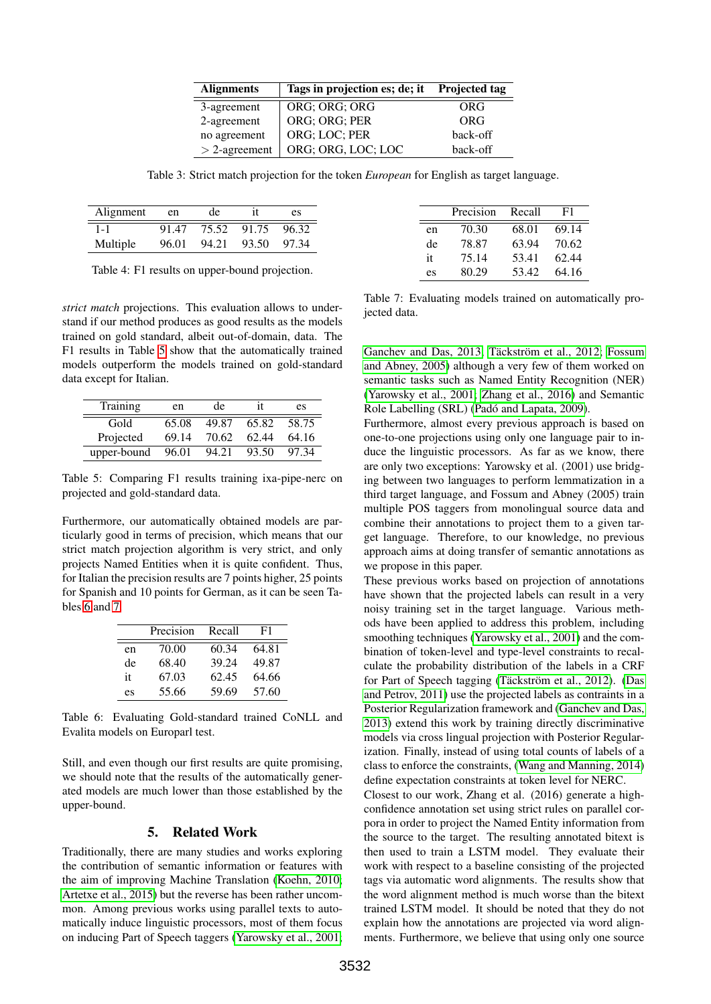| <b>Alignments</b> | Tags in projection es; de; it | <b>Projected tag</b> |
|-------------------|-------------------------------|----------------------|
| 3-agreement       | ORG; ORG; ORG                 | ORG                  |
| 2-agreement       | ORG; ORG; PER                 | ORG                  |
| no agreement      | ORG; LOC; PER                 | back-off             |
| $>$ 2-agreement   | ORG; ORG, LOC; LOC            | back-off             |

<span id="page-3-0"></span>Table 3: Strict match projection for the token *European* for English as target language.

| Alignment | en    | de    |       | es    |
|-----------|-------|-------|-------|-------|
| 1 - 1     | 91.47 | 75.52 | 91.75 | 96.32 |
| Multiple  | 96.01 | 94.21 | 93.50 | 97.34 |

<span id="page-3-1"></span>Table 4: F1 results on upper-bound projection.

*strict match* projections. This evaluation allows to understand if our method produces as good results as the models trained on gold standard, albeit out-of-domain, data. The F1 results in Table [5](#page-3-2) show that the automatically trained models outperform the models trained on gold-standard data except for Italian.

| <b>Training</b> | en    | de    |       | es    |
|-----------------|-------|-------|-------|-------|
| Gold            | 65.08 | 49.87 | 65.82 | 58.75 |
| Projected       | 69.14 | 70.62 | 62.44 | 64.16 |
| upper-bound     | 96.01 | 94.21 | 93.50 | 97 34 |

<span id="page-3-2"></span>Table 5: Comparing F1 results training ixa-pipe-nerc on projected and gold-standard data.

Furthermore, our automatically obtained models are particularly good in terms of precision, which means that our strict match projection algorithm is very strict, and only projects Named Entities when it is quite confident. Thus, for Italian the precision results are 7 points higher, 25 points for Spanish and 10 points for German, as it can be seen Tables [6](#page-3-3) and [7.](#page-3-4)

|    | Precision | Recall | F1    |
|----|-----------|--------|-------|
| en | 70.00     | 60.34  | 64.81 |
| de | 68.40     | 39.24  | 49.87 |
| it | 67.03     | 62.45  | 64.66 |
| es | 55.66     | 59.69  | 57.60 |

<span id="page-3-3"></span>Table 6: Evaluating Gold-standard trained CoNLL and Evalita models on Europarl test.

Still, and even though our first results are quite promising, we should note that the results of the automatically generated models are much lower than those established by the upper-bound.

#### 5. Related Work

Traditionally, there are many studies and works exploring the contribution of semantic information or features with the aim of improving Machine Translation [\(Koehn, 2010;](#page-4-8) [Artetxe et al., 2015\)](#page-4-9) but the reverse has been rather uncommon. Among previous works using parallel texts to automatically induce linguistic processors, most of them focus on inducing Part of Speech taggers [\(Yarowsky et al., 2001;](#page-5-0)

|    | Precision | Recall | F1    |
|----|-----------|--------|-------|
| en | 70.30     | 68.01  | 69.14 |
| de | 78.87     | 63.94  | 70.62 |
| it | 75.14     | 53.41  | 62.44 |
| es | 80.29     | 53.42  | 64.16 |

<span id="page-3-4"></span>Table 7: Evaluating models trained on automatically projected data.

[Ganchev and Das, 2013;](#page-4-10) Täckström et al., 2012; [Fossum](#page-4-12) [and Abney, 2005\)](#page-4-12) although a very few of them worked on semantic tasks such as Named Entity Recognition (NER) [\(Yarowsky et al., 2001;](#page-5-0) [Zhang et al., 2016\)](#page-5-1) and Semantic Role Labelling (SRL) (Padó and Lapata, 2009).

Furthermore, almost every previous approach is based on one-to-one projections using only one language pair to induce the linguistic processors. As far as we know, there are only two exceptions: Yarowsky et al. (2001) use bridging between two languages to perform lemmatization in a third target language, and Fossum and Abney (2005) train multiple POS taggers from monolingual source data and combine their annotations to project them to a given target language. Therefore, to our knowledge, no previous approach aims at doing transfer of semantic annotations as we propose in this paper.

These previous works based on projection of annotations have shown that the projected labels can result in a very noisy training set in the target language. Various methods have been applied to address this problem, including smoothing techniques [\(Yarowsky et al., 2001\)](#page-5-0) and the combination of token-level and type-level constraints to recalculate the probability distribution of the labels in a CRF for Part of Speech tagging (Täckström et al., 2012). [\(Das](#page-4-14) [and Petrov, 2011\)](#page-4-14) use the projected labels as contraints in a Posterior Regularization framework and [\(Ganchev and Das,](#page-4-10) [2013\)](#page-4-10) extend this work by training directly discriminative models via cross lingual projection with Posterior Regularization. Finally, instead of using total counts of labels of a class to enforce the constraints, [\(Wang and Manning, 2014\)](#page-4-15) define expectation constraints at token level for NERC.

Closest to our work, Zhang et al. (2016) generate a highconfidence annotation set using strict rules on parallel corpora in order to project the Named Entity information from the source to the target. The resulting annotated bitext is then used to train a LSTM model. They evaluate their work with respect to a baseline consisting of the projected tags via automatic word alignments. The results show that the word alignment method is much worse than the bitext trained LSTM model. It should be noted that they do not explain how the annotations are projected via word alignments. Furthermore, we believe that using only one source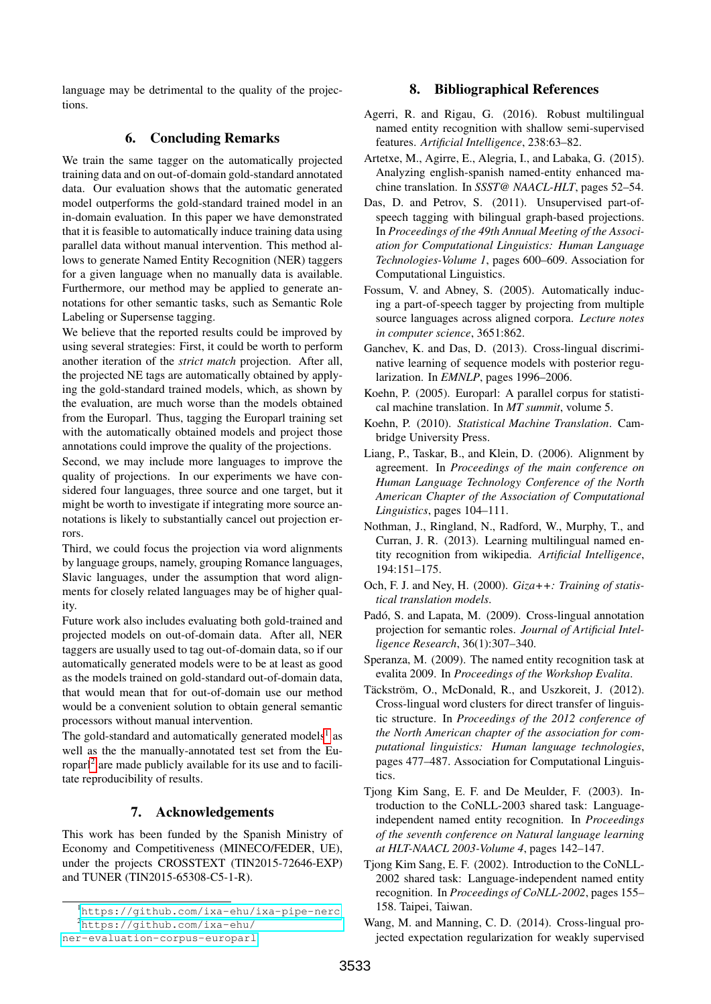language may be detrimental to the quality of the projections.

# 6. Concluding Remarks

We train the same tagger on the automatically projected training data and on out-of-domain gold-standard annotated data. Our evaluation shows that the automatic generated model outperforms the gold-standard trained model in an in-domain evaluation. In this paper we have demonstrated that it is feasible to automatically induce training data using parallel data without manual intervention. This method allows to generate Named Entity Recognition (NER) taggers for a given language when no manually data is available. Furthermore, our method may be applied to generate annotations for other semantic tasks, such as Semantic Role Labeling or Supersense tagging.

We believe that the reported results could be improved by using several strategies: First, it could be worth to perform another iteration of the *strict match* projection. After all, the projected NE tags are automatically obtained by applying the gold-standard trained models, which, as shown by the evaluation, are much worse than the models obtained from the Europarl. Thus, tagging the Europarl training set with the automatically obtained models and project those annotations could improve the quality of the projections.

Second, we may include more languages to improve the quality of projections. In our experiments we have considered four languages, three source and one target, but it might be worth to investigate if integrating more source annotations is likely to substantially cancel out projection errors.

Third, we could focus the projection via word alignments by language groups, namely, grouping Romance languages, Slavic languages, under the assumption that word alignments for closely related languages may be of higher quality.

Future work also includes evaluating both gold-trained and projected models on out-of-domain data. After all, NER taggers are usually used to tag out-of-domain data, so if our automatically generated models were to be at least as good as the models trained on gold-standard out-of-domain data, that would mean that for out-of-domain use our method would be a convenient solution to obtain general semantic processors without manual intervention.

The gold-standard and automatically generated models<sup>[1](#page-4-16)</sup> as well as the the manually-annotated test set from the Eu-roparl<sup>[2](#page-4-17)</sup> are made publicly available for its use and to facilitate reproducibility of results.

### 7. Acknowledgements

This work has been funded by the Spanish Ministry of Economy and Competitiveness (MINECO/FEDER, UE), under the projects CROSSTEXT (TIN2015-72646-EXP) and TUNER (TIN2015-65308-C5-1-R).

### 8. Bibliographical References

- <span id="page-4-2"></span>Agerri, R. and Rigau, G. (2016). Robust multilingual named entity recognition with shallow semi-supervised features. *Artificial Intelligence*, 238:63–82.
- <span id="page-4-9"></span>Artetxe, M., Agirre, E., Alegria, I., and Labaka, G. (2015). Analyzing english-spanish named-entity enhanced machine translation. In *SSST@ NAACL-HLT*, pages 52–54.
- <span id="page-4-14"></span>Das, D. and Petrov, S. (2011). Unsupervised part-ofspeech tagging with bilingual graph-based projections. In *Proceedings of the 49th Annual Meeting of the Association for Computational Linguistics: Human Language Technologies-Volume 1*, pages 600–609. Association for Computational Linguistics.
- <span id="page-4-12"></span>Fossum, V. and Abney, S. (2005). Automatically inducing a part-of-speech tagger by projecting from multiple source languages across aligned corpora. *Lecture notes in computer science*, 3651:862.
- <span id="page-4-10"></span>Ganchev, K. and Das, D. (2013). Cross-lingual discriminative learning of sequence models with posterior regularization. In *EMNLP*, pages 1996–2006.
- <span id="page-4-3"></span>Koehn, P. (2005). Europarl: A parallel corpus for statistical machine translation. In *MT summit*, volume 5.
- <span id="page-4-8"></span>Koehn, P. (2010). *Statistical Machine Translation*. Cambridge University Press.
- <span id="page-4-1"></span>Liang, P., Taskar, B., and Klein, D. (2006). Alignment by agreement. In *Proceedings of the main conference on Human Language Technology Conference of the North American Chapter of the Association of Computational Linguistics*, pages 104–111.
- <span id="page-4-4"></span>Nothman, J., Ringland, N., Radford, W., Murphy, T., and Curran, J. R. (2013). Learning multilingual named entity recognition from wikipedia. *Artificial Intelligence*, 194:151–175.
- <span id="page-4-0"></span>Och, F. J. and Ney, H. (2000). *Giza++: Training of statistical translation models*.
- <span id="page-4-13"></span>Padó, S. and Lapata, M. (2009). Cross-lingual annotation projection for semantic roles. *Journal of Artificial Intelligence Research*, 36(1):307–340.
- <span id="page-4-7"></span>Speranza, M. (2009). The named entity recognition task at evalita 2009. In *Proceedings of the Workshop Evalita*.
- <span id="page-4-11"></span>Täckström, O., McDonald, R., and Uszkoreit, J. (2012). Cross-lingual word clusters for direct transfer of linguistic structure. In *Proceedings of the 2012 conference of the North American chapter of the association for computational linguistics: Human language technologies*, pages 477–487. Association for Computational Linguistics.
- <span id="page-4-5"></span>Tjong Kim Sang, E. F. and De Meulder, F. (2003). Introduction to the CoNLL-2003 shared task: Languageindependent named entity recognition. In *Proceedings of the seventh conference on Natural language learning at HLT-NAACL 2003-Volume 4*, pages 142–147.
- <span id="page-4-6"></span>Tjong Kim Sang, E. F. (2002). Introduction to the CoNLL-2002 shared task: Language-independent named entity recognition. In *Proceedings of CoNLL-2002*, pages 155– 158. Taipei, Taiwan.

<span id="page-4-17"></span><span id="page-4-16"></span><sup>1</sup><https://github.com/ixa-ehu/ixa-pipe-nerc> <sup>2</sup>[https://github.com/ixa-ehu/](https://github.com/ixa-ehu/ner-evaluation-corpus-europarl)

[ner-evaluation-corpus-europarl](https://github.com/ixa-ehu/ner-evaluation-corpus-europarl)

<span id="page-4-15"></span>Wang, M. and Manning, C. D. (2014). Cross-lingual projected expectation regularization for weakly supervised